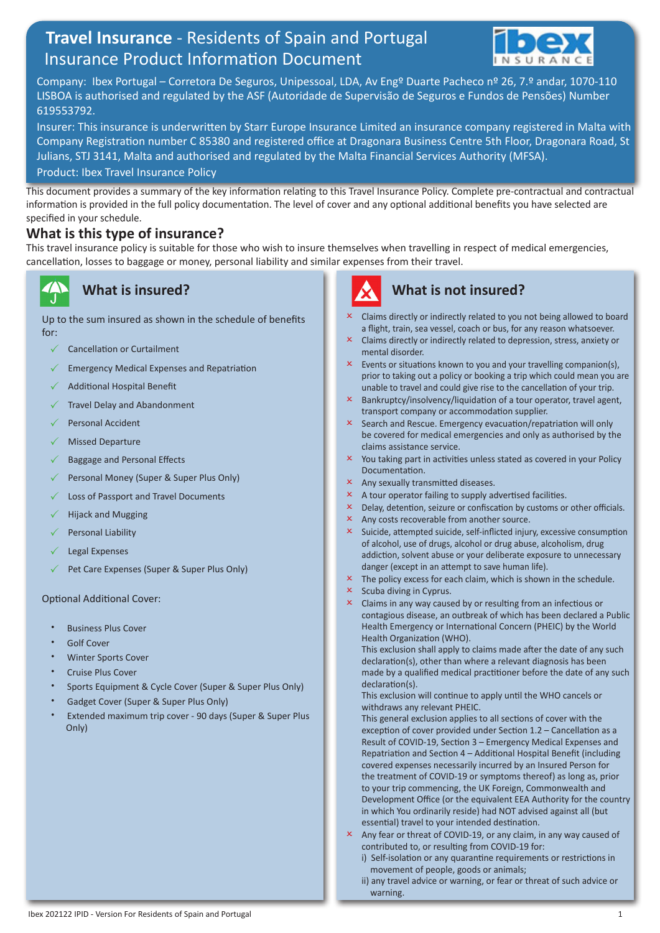# **Travel Insurance** - Residents of Spain and Portugal Insurance Product Information Document



Company: Ibex Portugal – Corretora De Seguros, Unipessoal, LDA, Av Engº Duarte Pacheco nº 26, 7.º andar, 1070-110 LISBOA is authorised and regulated by the ASF (Autoridade de Supervisão de Seguros e Fundos de Pensões) Number 619553792.

Insurer: This insurance is underwritten by Starr Europe Insurance Limited an insurance company registered in Malta with Company Registration number C 85380 and registered office at Dragonara Business Centre 5th Floor, Dragonara Road, St Julians, STJ 3141, Malta and authorised and regulated by the Malta Financial Services Authority (MFSA). Product: Ibex Travel Insurance Policy

This document provides a summary of the key information relating to this Travel Insurance Policy. Complete pre-contractual and contractual information is provided in the full policy documentation. The level of cover and any optional additional benefits you have selected are specified in your schedule.

### **What is this type of insurance?**

This travel insurance policy is suitable for those who wish to insure themselves when travelling in respect of medical emergencies, cancellation, losses to baggage or money, personal liability and similar expenses from their travel.

## **What is insured?**

Up to the sum insured as shown in the schedule of benefits for:

- Cancellation or Curtailment
- Emergency Medical Expenses and Repatriation
- Additional Hospital Benefit
- Travel Delay and Abandonment
- Personal Accident
- Missed Departure
- Baggage and Personal Effects
- Personal Money (Super & Super Plus Only)
- Loss of Passport and Travel Documents
- Hijack and Mugging
- Personal Liability
- Legal Expenses
- Pet Care Expenses (Super & Super Plus Only)

#### Optional Additional Cover:

- Business Plus Cover
- Golf Cover
- Winter Sports Cover
- Cruise Plus Cover
- Sports Equipment & Cycle Cover (Super & Super Plus Only)
- Gadget Cover (Super & Super Plus Only)
- Extended maximum trip cover 90 days (Super & Super Plus Only)



## **What is not insured?**

- Claims directly or indirectly related to you not being allowed to board a flight, train, sea vessel, coach or bus, for any reason whatsoever.
- $\times$  Claims directly or indirectly related to depression, stress, anxiety or mental disorder.
- Events or situations known to you and your travelling companion(s), prior to taking out a policy or booking a trip which could mean you are unable to travel and could give rise to the cancellation of your trip.
- $x$  Bankruptcy/insolvency/liquidation of a tour operator, travel agent, transport company or accommodation supplier.
- $\times$  Search and Rescue. Emergency evacuation/repatriation will only be covered for medical emergencies and only as authorised by the claims assistance service.
- $x$  You taking part in activities unless stated as covered in your Policy Documentation.
- Any sexually transmitted diseases.
- $\times$  A tour operator failing to supply advertised facilities.
- $\times$  Delay, detention, seizure or confiscation by customs or other officials.
- $\times$  Any costs recoverable from another source.
- $\times$  Suicide, attempted suicide, self-inflicted injury, excessive consumption of alcohol, use of drugs, alcohol or drug abuse, alcoholism, drug addiction, solvent abuse or your deliberate exposure to unnecessary danger (except in an attempt to save human life).
- $\times$  The policy excess for each claim, which is shown in the schedule.
- Scuba diving in Cyprus.
- $\times$  Claims in any way caused by or resulting from an infectious or contagious disease, an outbreak of which has been declared a Public Health Emergency or International Concern (PHEIC) by the World Health Organization (WHO).

This exclusion shall apply to claims made after the date of any such declaration(s), other than where a relevant diagnosis has been made by a qualified medical practitioner before the date of any such declaration(s).

This exclusion will continue to apply until the WHO cancels or withdraws any relevant PHEIC.

This general exclusion applies to all sections of cover with the exception of cover provided under Section 1.2 – Cancellation as a Result of COVID-19, Section 3 – Emergency Medical Expenses and Repatriation and Section 4 – Additional Hospital Benefit (including covered expenses necessarily incurred by an Insured Person for the treatment of COVID-19 or symptoms thereof) as long as, prior to your trip commencing, the UK Foreign, Commonwealth and Development Office (or the equivalent EEA Authority for the country in which You ordinarily reside) had NOT advised against all (but essential) travel to your intended destination.

- $\times$  Any fear or threat of COVID-19, or any claim, in any way caused of contributed to, or resulting from COVID-19 for:
	- i) Self-isolation or any quarantine requirements or restrictions in movement of people, goods or animals;
	- ii) any travel advice or warning, or fear or threat of such advice or warning.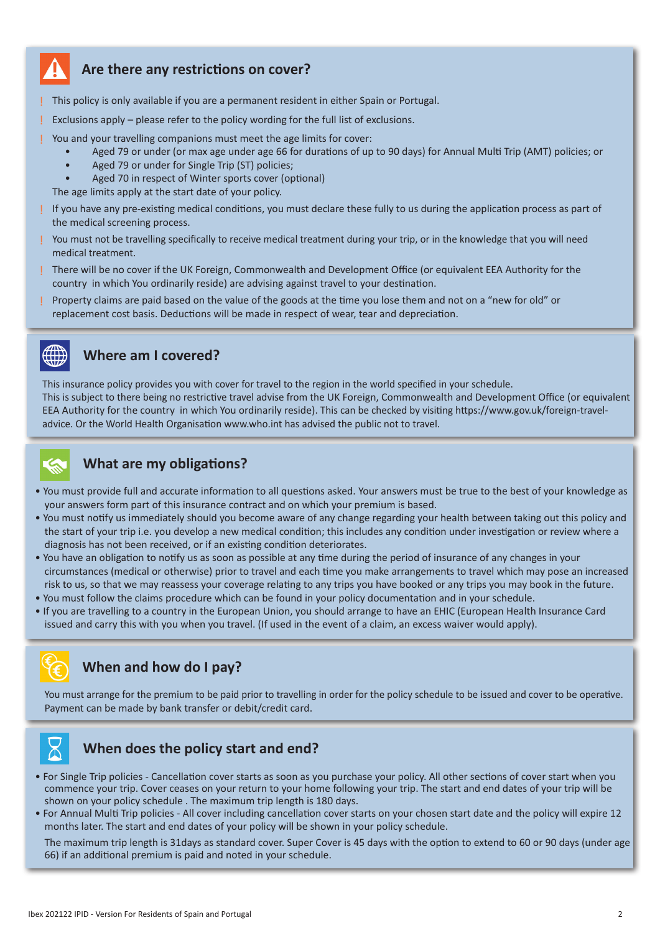

## **Are there any restrictions on cover?**

! This policy is only available if you are a permanent resident in either Spain or Portugal.

Exclusions apply – please refer to the policy wording for the full list of exclusions.

You and your travelling companions must meet the age limits for cover:

- Aged 79 or under (or max age under age 66 for durations of up to 90 days) for Annual Multi Trip (AMT) policies; or
- Aged 79 or under for Single Trip (ST) policies;
- Aged 70 in respect of Winter sports cover (optional)
- The age limits apply at the start date of your policy.
- ! If you have any pre-existing medical conditions, you must declare these fully to us during the application process as part of the medical screening process.
- ! You must not be travelling specifically to receive medical treatment during your trip, or in the knowledge that you will need medical treatment.
- ! There will be no cover if the UK Foreign, Commonwealth and Development Office (or equivalent EEA Authority for the country in which You ordinarily reside) are advising against travel to your destination.
- ! Property claims are paid based on the value of the goods at the time you lose them and not on a "new for old" or replacement cost basis. Deductions will be made in respect of wear, tear and depreciation.



## **Where am I covered?**

This insurance policy provides you with cover for travel to the region in the world specified in your schedule. This is subject to there being no restrictive travel advise from the UK Foreign, Commonwealth and Development Office (or equivalent EEA Authority for the country in which You ordinarily reside). This can be checked by visiting https://www.gov.uk/foreign-traveladvice. Or the World Health Organisation www.who.int has advised the public not to travel.



## **What are my obligations?**

- You must provide full and accurate information to all questions asked. Your answers must be true to the best of your knowledge as your answers form part of this insurance contract and on which your premium is based.
- You must notify us immediately should you become aware of any change regarding your health between taking out this policy and the start of your trip i.e. you develop a new medical condition; this includes any condition under investigation or review where a diagnosis has not been received, or if an existing condition deteriorates.
- You have an obligation to notify us as soon as possible at any time during the period of insurance of any changes in your circumstances (medical or otherwise) prior to travel and each time you make arrangements to travel which may pose an increased risk to us, so that we may reassess your coverage relating to any trips you have booked or any trips you may book in the future.
- You must follow the claims procedure which can be found in your policy documentation and in your schedule.
- If you are travelling to a country in the European Union, you should arrange to have an EHIC (European Health Insurance Card issued and carry this with you when you travel. (If used in the event of a claim, an excess waiver would apply).

# **When and how do I pay?**

You must arrange for the premium to be paid prior to travelling in order for the policy schedule to be issued and cover to be operative. Payment can be made by bank transfer or debit/credit card.



- For Single Trip policies Cancellation cover starts as soon as you purchase your policy. All other sections of cover start when you commence your trip. Cover ceases on your return to your home following your trip. The start and end dates of your trip will be shown on your policy schedule . The maximum trip length is 180 days.
- For Annual Multi Trip policies All cover including cancellation cover starts on your chosen start date and the policy will expire 12 months later. The start and end dates of your policy will be shown in your policy schedule.

The maximum trip length is 31days as standard cover. Super Cover is 45 days with the option to extend to 60 or 90 days (under age 66) if an additional premium is paid and noted in your schedule.